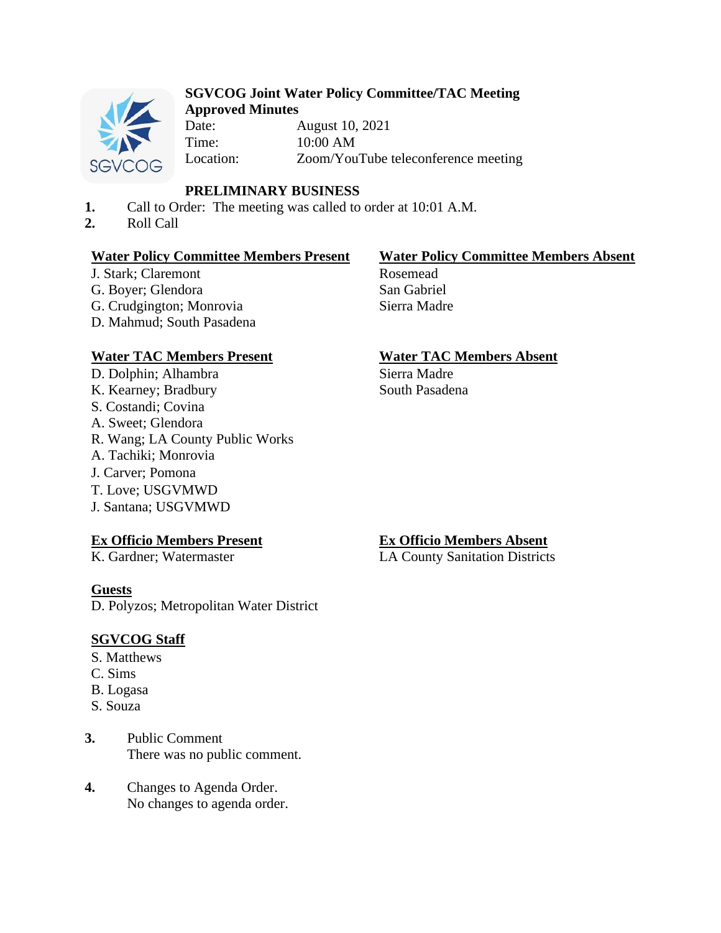

## **SGVCOG Joint Water Policy Committee/TAC Meeting Approved Minutes**

Date: August 10, 2021 Time: 10:00 AM Location: Zoom/YouTube teleconference meeting

# **PRELIMINARY BUSINESS**

- **1.** Call to Order: The meeting was called to order at 10:01 A.M.
- **2.** Roll Call

# **Water Policy Committee Members Present Water Policy Committee Members Absent**

J. Stark; Claremont G. Boyer; Glendora G. Crudgington; Monrovia D. Mahmud; South Pasadena

# **Water TAC Members Present Water TAC Members Absent**

D. Dolphin; Alhambra K. Kearney; Bradbury S. Costandi; Covina A. Sweet; Glendora R. Wang; LA County Public Works A. Tachiki; Monrovia J. Carver; Pomona T. Love; USGVMWD J. Santana; USGVMWD

# **Ex Officio Members Present**

K. Gardner; Watermaster

# **Guests**

D. Polyzos; Metropolitan Water District

# **SGVCOG Staff**

- S. Matthews
- C. Sims
- B. Logasa
- S. Souza
- **3.** Public Comment There was no public comment.
- **4.** Changes to Agenda Order. No changes to agenda order.

Rosemead San Gabriel Sierra Madre

Sierra Madre South Pasadena

# **Ex Officio Members Absent**

LA County Sanitation Districts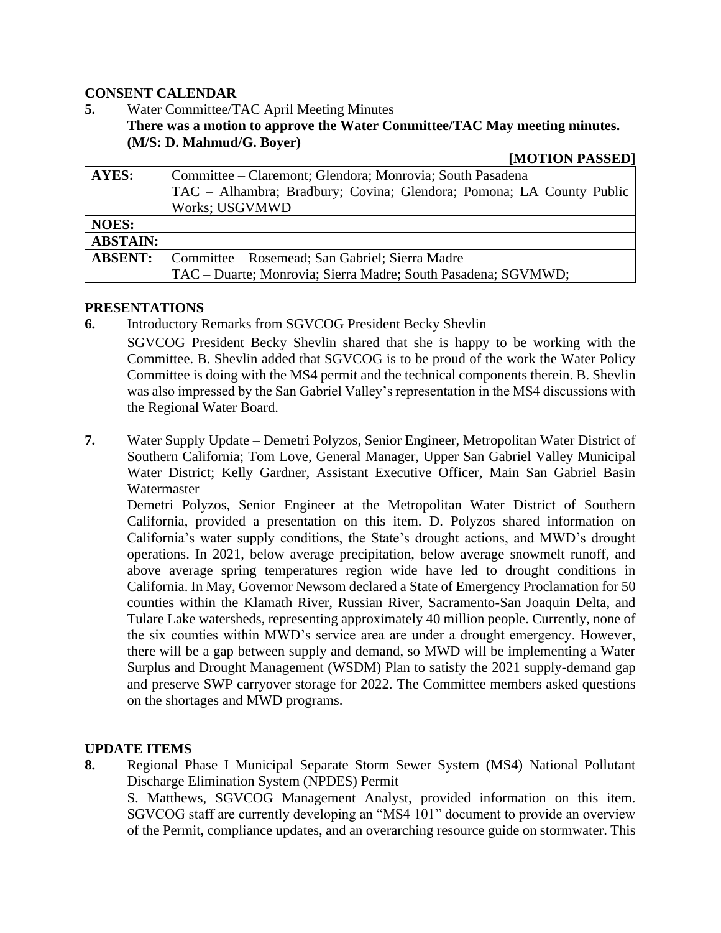## **CONSENT CALENDAR**

**5.** Water Committee/TAC April Meeting Minutes **There was a motion to approve the Water Committee/TAC May meeting minutes. (M/S: D. Mahmud/G. Boyer)**

#### **[MOTION PASSED]**

| <b>AYES:</b>    | Committee – Claremont; Glendora; Monrovia; South Pasadena            |
|-----------------|----------------------------------------------------------------------|
|                 | TAC – Alhambra; Bradbury; Covina; Glendora; Pomona; LA County Public |
|                 | <b>Works: USGVMWD</b>                                                |
| <b>NOES:</b>    |                                                                      |
| <b>ABSTAIN:</b> |                                                                      |
| <b>ABSENT:</b>  | Committee – Rosemead; San Gabriel; Sierra Madre                      |
|                 | TAC – Duarte; Monrovia; Sierra Madre; South Pasadena; SGVMWD;        |

### **PRESENTATIONS**

**6.** Introductory Remarks from SGVCOG President Becky Shevlin

SGVCOG President Becky Shevlin shared that she is happy to be working with the Committee. B. Shevlin added that SGVCOG is to be proud of the work the Water Policy Committee is doing with the MS4 permit and the technical components therein. B. Shevlin was also impressed by the San Gabriel Valley's representation in the MS4 discussions with the Regional Water Board.

**7.** Water Supply Update – Demetri Polyzos, Senior Engineer, Metropolitan Water District of Southern California; Tom Love, General Manager, Upper San Gabriel Valley Municipal Water District; Kelly Gardner, Assistant Executive Officer, Main San Gabriel Basin Watermaster

Demetri Polyzos, Senior Engineer at the Metropolitan Water District of Southern California, provided a presentation on this item. D. Polyzos shared information on California's water supply conditions, the State's drought actions, and MWD's drought operations. In 2021, below average precipitation, below average snowmelt runoff, and above average spring temperatures region wide have led to drought conditions in California. In May, Governor Newsom declared a State of Emergency Proclamation for 50 counties within the Klamath River, Russian River, Sacramento-San Joaquin Delta, and Tulare Lake watersheds, representing approximately 40 million people. Currently, none of the six counties within MWD's service area are under a drought emergency. However, there will be a gap between supply and demand, so MWD will be implementing a Water Surplus and Drought Management (WSDM) Plan to satisfy the 2021 supply-demand gap and preserve SWP carryover storage for 2022. The Committee members asked questions on the shortages and MWD programs.

### **UPDATE ITEMS**

**8.** Regional Phase I Municipal Separate Storm Sewer System (MS4) National Pollutant Discharge Elimination System (NPDES) Permit

S. Matthews, SGVCOG Management Analyst, provided information on this item. SGVCOG staff are currently developing an "MS4 101" document to provide an overview of the Permit, compliance updates, and an overarching resource guide on stormwater. This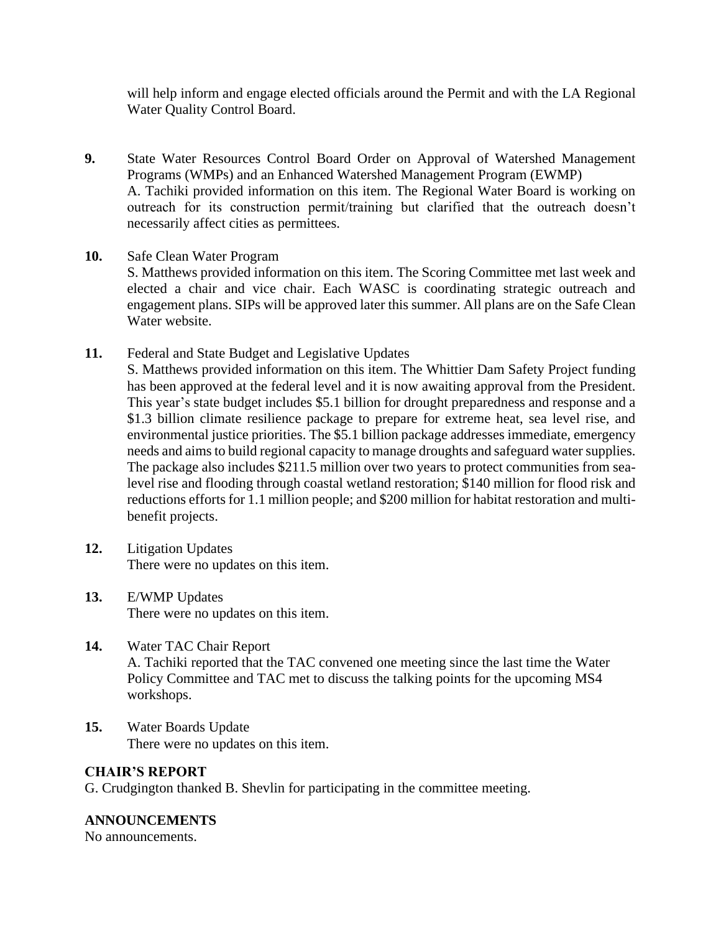will help inform and engage elected officials around the Permit and with the LA Regional Water Quality Control Board.

- **9.** State Water Resources Control Board Order on Approval of Watershed Management Programs (WMPs) and an Enhanced Watershed Management Program (EWMP) A. Tachiki provided information on this item. The Regional Water Board is working on outreach for its construction permit/training but clarified that the outreach doesn't necessarily affect cities as permittees.
- **10.** Safe Clean Water Program

S. Matthews provided information on this item. The Scoring Committee met last week and elected a chair and vice chair. Each WASC is coordinating strategic outreach and engagement plans. SIPs will be approved later this summer. All plans are on the Safe Clean Water website.

**11.** Federal and State Budget and Legislative Updates

S. Matthews provided information on this item. The Whittier Dam Safety Project funding has been approved at the federal level and it is now awaiting approval from the President. This year's state budget includes \$5.1 billion for drought preparedness and response and a \$1.3 billion climate resilience package to prepare for extreme heat, sea level rise, and environmental justice priorities. The \$5.1 billion package addresses immediate, emergency needs and aims to build regional capacity to manage droughts and safeguard water supplies. The package also includes \$211.5 million over two years to protect communities from sealevel rise and flooding through coastal wetland restoration; \$140 million for flood risk and reductions efforts for 1.1 million people; and \$200 million for habitat restoration and multibenefit projects.

- **12.** Litigation Updates There were no updates on this item.
- **13.** E/WMP Updates There were no updates on this item.
- **14.** Water TAC Chair Report A. Tachiki reported that the TAC convened one meeting since the last time the Water Policy Committee and TAC met to discuss the talking points for the upcoming MS4 workshops.
- **15.** Water Boards Update There were no updates on this item.

# **CHAIR'S REPORT**

G. Crudgington thanked B. Shevlin for participating in the committee meeting.

# **ANNOUNCEMENTS**

No announcements.